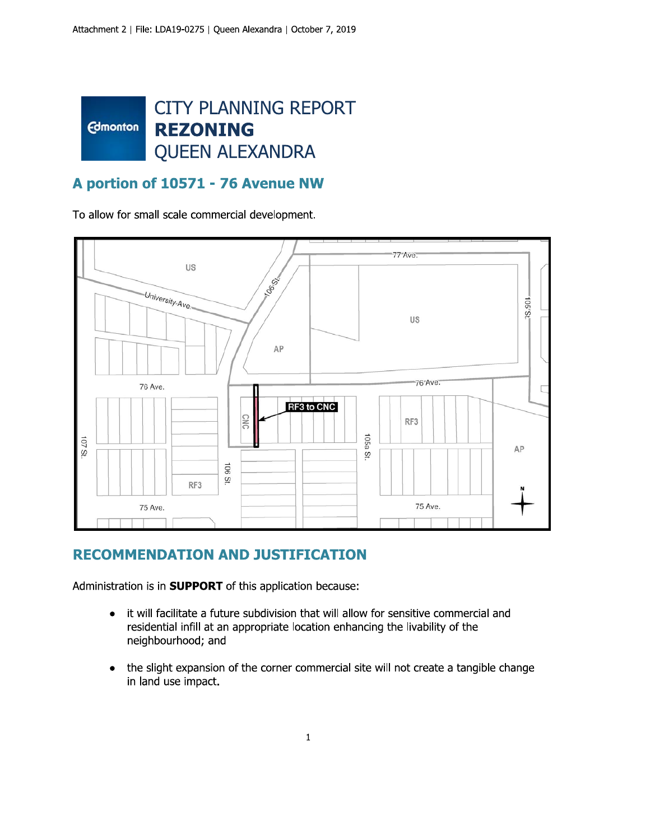

#### A portion of 10571 - 76 Avenue NW

To allow for small scale commercial development.



#### **RECOMMENDATION AND JUSTIFICATION**

Administration is in **SUPPORT** of this application because:

- it will facilitate a future subdivision that will allow for sensitive commercial and  $\bullet$ residential infill at an appropriate location enhancing the livability of the neighbourhood; and
- the slight expansion of the corner commercial site will not create a tangible change  $\bullet$ in land use impact.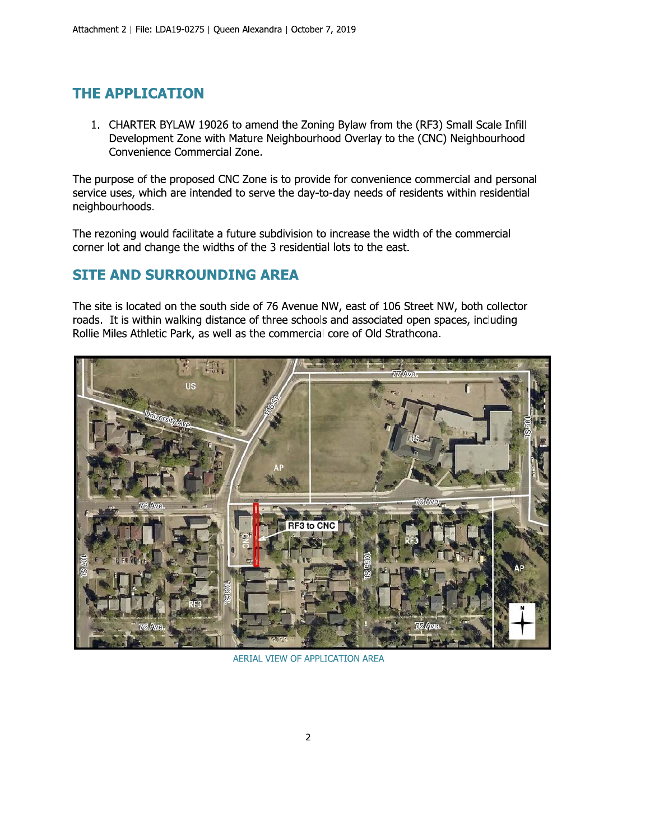### **THE APPLICATION**

1. CHARTER BYLAW 19026 to amend the Zoning Bylaw from the (RF3) Small Scale Infill Development Zone with Mature Neighbourhood Overlay to the (CNC) Neighbourhood Convenience Commercial Zone.

The purpose of the proposed CNC Zone is to provide for convenience commercial and personal service uses, which are intended to serve the day-to-day needs of residents within residential neighbourhoods.

The rezoning would facilitate a future subdivision to increase the width of the commercial corner lot and change the widths of the 3 residential lots to the east.

### **SITE AND SURROUNDING AREA**

The site is located on the south side of 76 Avenue NW, east of 106 Street NW, both collector roads. It is within walking distance of three schools and associated open spaces, including Rollie Miles Athletic Park, as well as the commercial core of Old Strathcona.



AERIAL VIEW OF APPLICATION AREA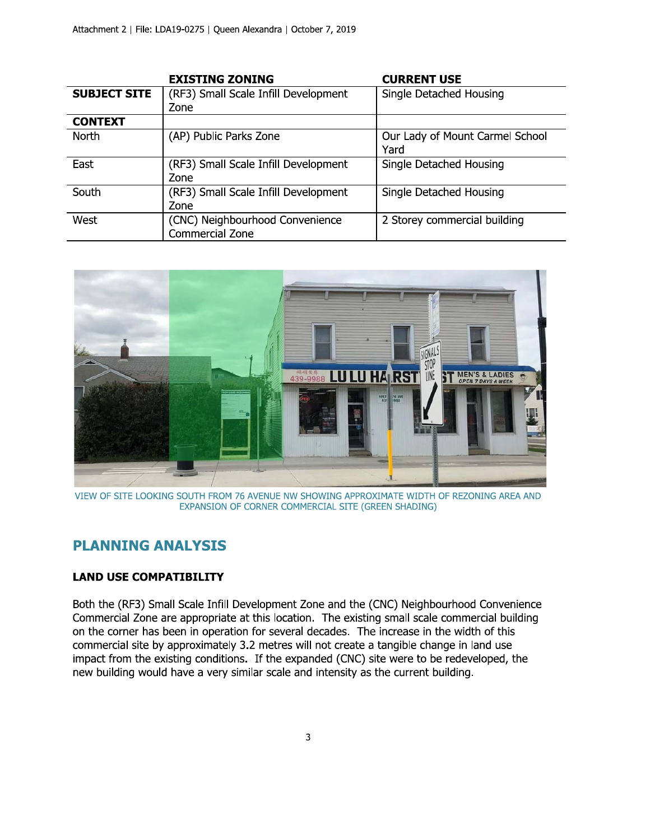|                     | <b>EXISTING ZONING</b>               | <b>CURRENT USE</b>              |
|---------------------|--------------------------------------|---------------------------------|
| <b>SUBJECT SITE</b> | (RF3) Small Scale Infill Development | Single Detached Housing         |
|                     | Zone                                 |                                 |
| <b>CONTEXT</b>      |                                      |                                 |
| North               | (AP) Public Parks Zone               | Our Lady of Mount Carmel School |
|                     |                                      | Yard                            |
| East                | (RF3) Small Scale Infill Development | Single Detached Housing         |
|                     | Zone                                 |                                 |
| South               | (RF3) Small Scale Infill Development | Single Detached Housing         |
|                     | Zone                                 |                                 |
| West                | (CNC) Neighbourhood Convenience      | 2 Storey commercial building    |
|                     | Commercial Zone                      |                                 |



VIEW OF SITE LOOKING SOUTH FROM 76 AVENUE NW SHOWING APPROXIMATE WIDTH OF REZONING AREA AND EXPANSION OF CORNER COMMERCIAL SITE (GREEN SHADING)

#### **PLANNING ANALYSIS**

#### **LAND USE COMPATIBILITY**

Both the (RF3) Small Scale Infill Development Zone and the (CNC) Neighbourhood Convenience Commercial Zone are appropriate at this location. The existing small scale commercial building on the corner has been in operation for several decades. The increase in the width of this commercial site by approximately 3.2 metres will not create a tangible change in land use impact from the existing conditions. If the expanded (CNC) site were to be redeveloped, the new building would have a very similar scale and intensity as the current building.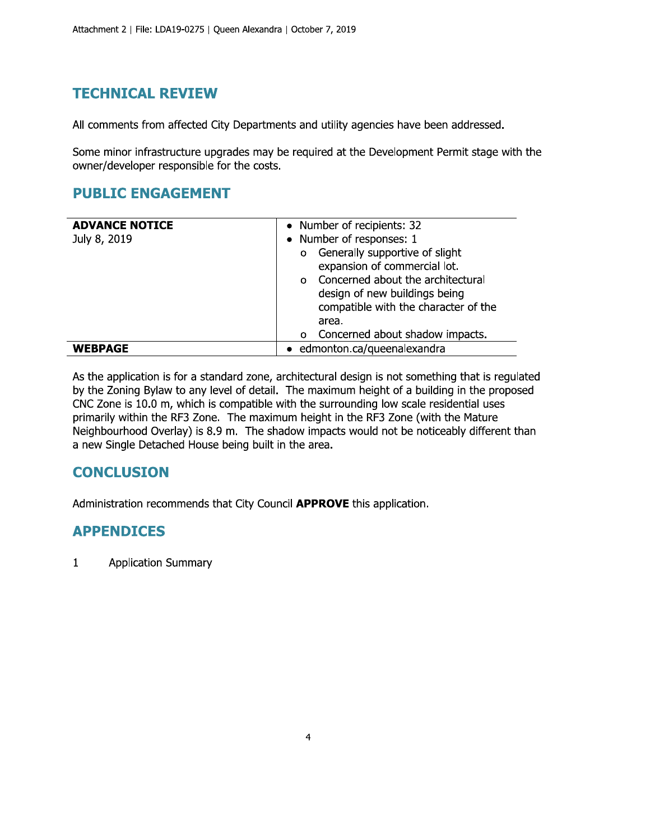## **TECHNICAL REVIEW**

All comments from affected City Departments and utility agencies have been addressed.

Some minor infrastructure upgrades may be required at the Development Permit stage with the owner/developer responsible for the costs.

### **PUBLIC ENGAGEMENT**

| <b>ADVANCE NOTICE</b><br>July 8, 2019 | • Number of recipients: 32<br>• Number of responses: 1<br>Generally supportive of slight<br>$\circ$<br>expansion of commercial lot.<br>Concerned about the architectural<br>$\Omega$<br>design of new buildings being<br>compatible with the character of the<br>area. |
|---------------------------------------|------------------------------------------------------------------------------------------------------------------------------------------------------------------------------------------------------------------------------------------------------------------------|
| <b>WEBPAGE</b>                        | Concerned about shadow impacts.<br>$\circ$<br>• edmonton.ca/queenalexandra                                                                                                                                                                                             |

As the application is for a standard zone, architectural design is not something that is regulated by the Zoning Bylaw to any level of detail. The maximum height of a building in the proposed CNC Zone is 10.0 m, which is compatible with the surrounding low scale residential uses primarily within the RF3 Zone. The maximum height in the RF3 Zone (with the Mature Neighbourhood Overlay) is 8.9 m. The shadow impacts would not be noticeably different than a new Single Detached House being built in the area.

## **CONCLUSION**

Administration recommends that City Council APPROVE this application.

#### **APPENDICES**

 $\mathbf{1}$ **Application Summary**